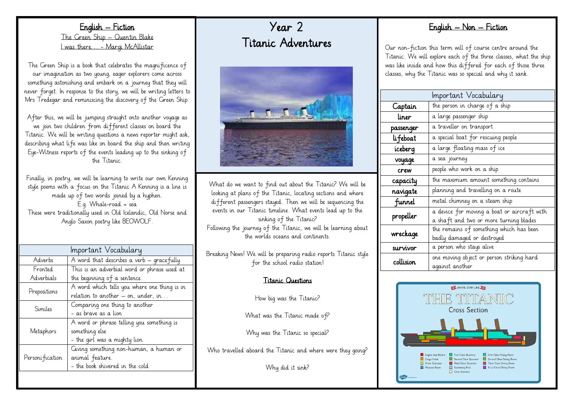English – Fiction The Green Ship – Quentin Blake I was there… - Margi McAllistar

The Green Ship is a book that celebrates the magnificence of our imagination as two young, eager explorers come across something astonishing and embark on a journey that they will never forget. In response to the story, we will be writing letters to Mrs Tredegar and reminiscing the discovery of the Green Ship.

After this, we will be jumping straight onto another voyage as we join two children from different classes on board the Titanic. We will be writing questions a news reporter might ask, describing what life was like on board the ship and then writing Eye-Witness reports of the events leading up to the sinking of the Titanic.

Finally, in poetry, we will be learning to write our own Kenning style poems with a focus on the Titanic A Kenning is a line is made up of two words joined by a hyphen. E.g. Whale-road = sea These were traditionally used in Old Icelandic, Old Norse and Anglo Saxon poetry like BEOWOLF.

| Important Vocabulary |                                              |  |
|----------------------|----------------------------------------------|--|
| Adverbs              | A word that describes a verb – gracefully    |  |
| Fronted              | This is an adverbial word or phrase used at  |  |
| Adverbials           | the beginning of a sentence.                 |  |
| Prepositions         | A word which tells you where one thing is in |  |
|                      | relation to another – on, under, in          |  |
| Similes              | Comparing one thing to another               |  |
|                      | – as brave as a lion                         |  |
| Metaphors            | A word or phrase telling you something is    |  |
|                      | something else                               |  |
|                      | - the girl was a mighty lion                 |  |
| Personi fication     | Giving something non-human, a human or       |  |
|                      | animal feature.                              |  |
|                      | - the book shivered in the cold              |  |
|                      |                                              |  |

Year 2 Titanic Adventures



What do we want to find out about the Titanic? We will be looking at plans of the Titanic, locating sections and where different passengers stayed. Then we will be sequencing the events in our Titanic timeline. What events lead up to the sinking of the Titanic? Following the journey of the Titanic, we will be learning about the worlds oceans and continents.

Breaking News! We will be preparing radio reports Titanic style for the school radio station!

#### Titanic Questions

How big was the Titanic?

What was the Titanic made of?

Why was the Titanic so special?

Who travelled aboard the Titanic and where were they going?

Why did it sink?

# English – Non – Fiction

Our non-fiction this term will of course centre around the Titanic. We will explore each of the three classes, what the ship was like inside and how this differed for each of those three classes, why the Titanic was so special and why it sank.

|            | Important Vocabulary                        |
|------------|---------------------------------------------|
|            |                                             |
| Captain    | the person in charge of a ship              |
| liner      | a large passenger ship                      |
| passenger  | a traveller on transport                    |
| li feboat  | a special boat for rescuing people          |
| iceberg    | a large floating mass of ice                |
| voyage     | a sea journey                               |
| crew       | people who work on a ship                   |
| capacity   | the maximum amount something contains       |
| navigate   | planning and travelling on a route          |
| funnel     | metal chimney on a steam ship               |
| propeller  | a device for moving a boat or aircraft with |
|            | a shaft and two or more turning blades      |
| wreckage   | the remains of something which has been     |
|            | badly damaged or destroyed                  |
| survivor   | a person who stays alive                    |
| collision. | one moving object or person striking hard   |
|            | against another                             |
|            |                                             |